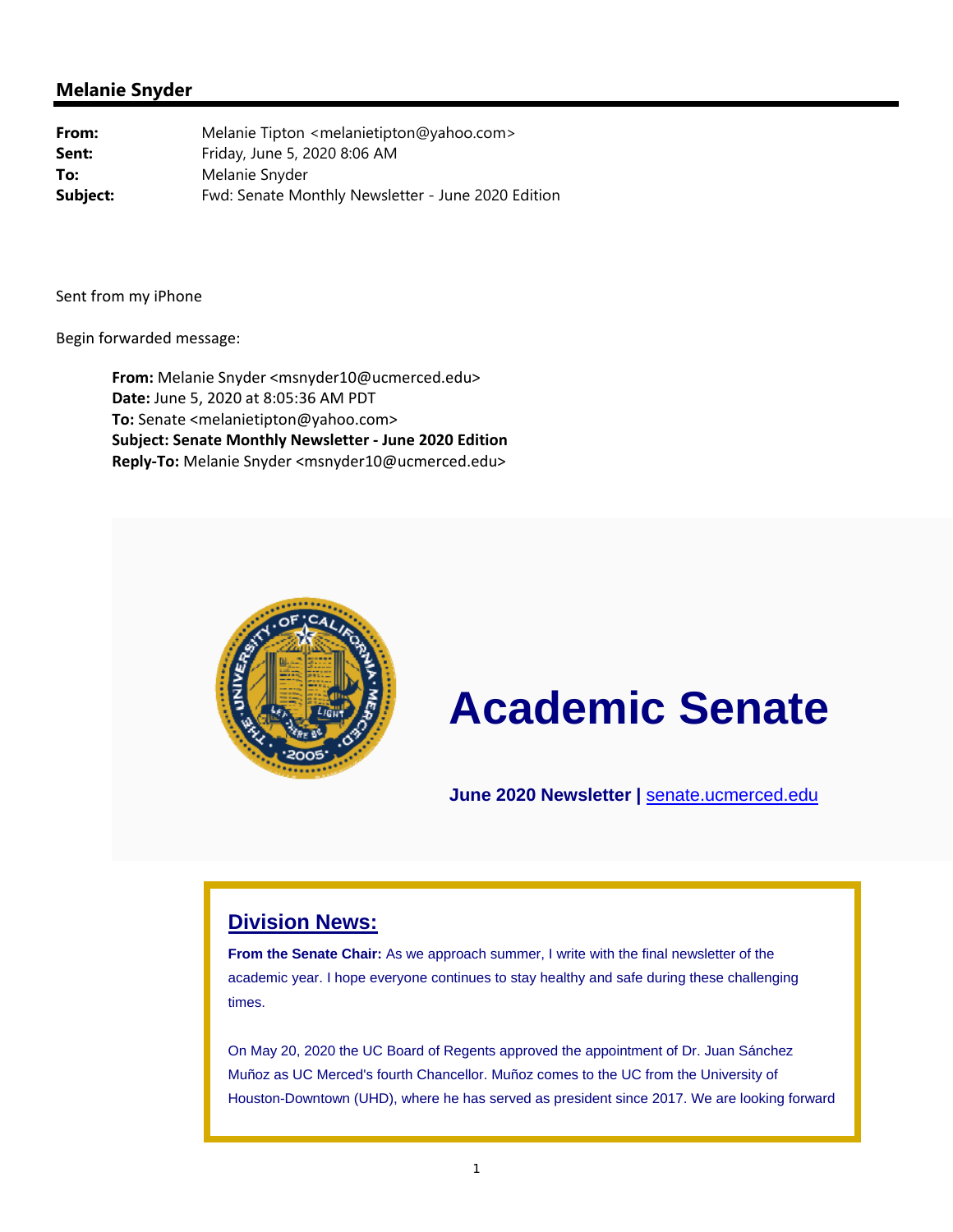

# **Academic Senate**

**June 2020 Newsletter |** senate.ucmerced.edu

#### **Division News:**

**From the Senate Chair:** As we approach summer, I write with the final newsletter of the academic year. I hope everyone continues to stay healthy and safe during these challenging times.

On May 20, 2020 the UC Board of Regents approved the appointment of Dr. Juan Sánchez Muñoz as UC Merced's fourth Chancellor. Muñoz comes to the UC from the University of Houston-Downtown (UHD), where he has served as president since 2017. We are looking forward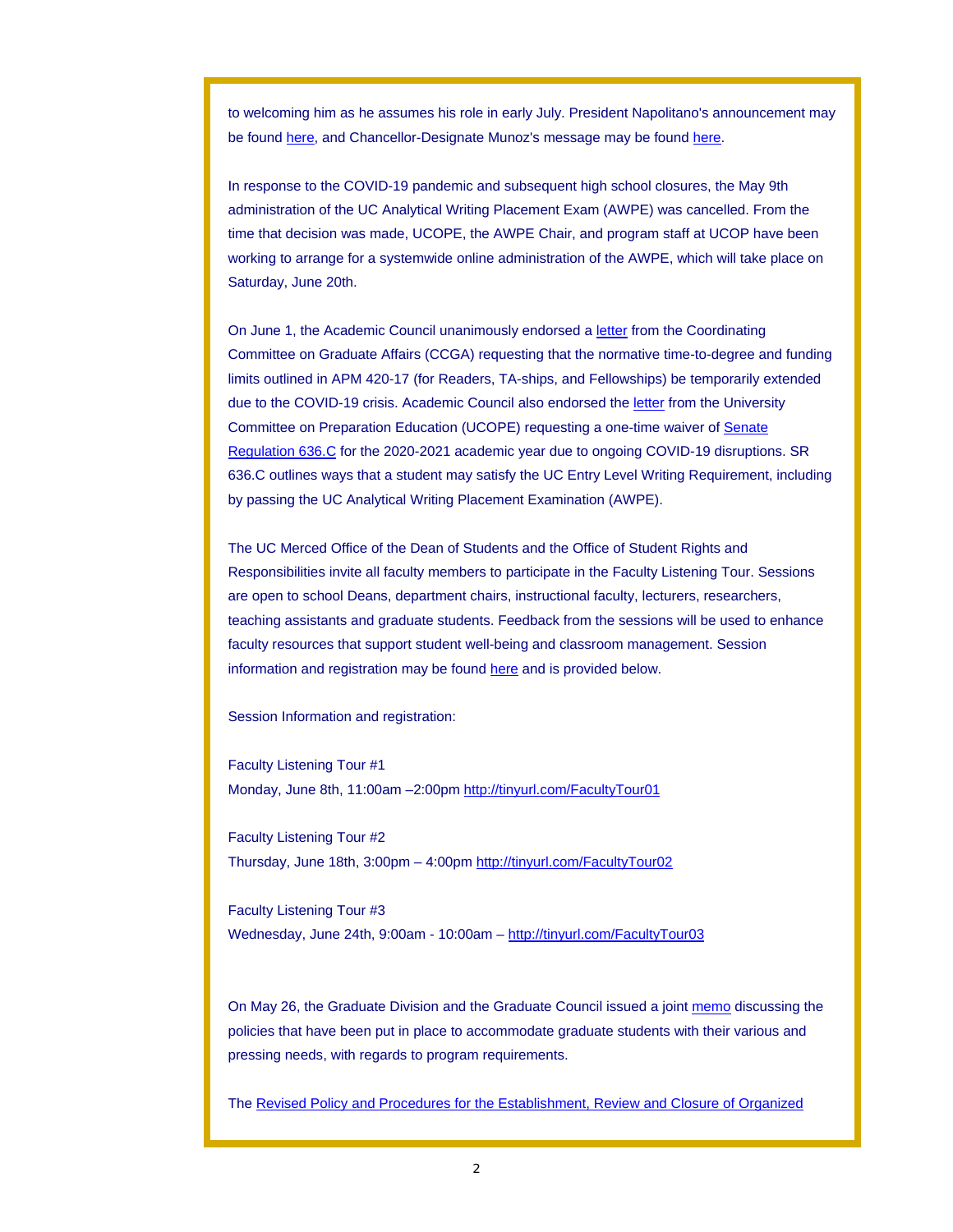to welcoming him as he assumes his role in early July. President Napolitano's announcement may be found here, and Chancellor-Designate Munoz's message may be found here.

In response to the COVID-19 pandemic and subsequent high school closures, the May 9th administration of the UC Analytical Writing Placement Exam (AWPE) was cancelled. From the time that decision was made, UCOPE, the AWPE Chair, and program staff at UCOP have been working to arrange for a systemwide online administration of the AWPE, which will take place on Saturday, June 20th.

On June 1, the Academic Council unanimously endorsed a letter from the Coordinating Committee on Graduate Affairs (CCGA) requesting that the normative time-to-degree and funding limits outlined in APM 420-17 (for Readers, TA-ships, and Fellowships) be temporarily extended due to the COVID-19 crisis. Academic Council also endorsed the letter from the University Committee on Preparation Education (UCOPE) requesting a one-time waiver of Senate Regulation 636.C for the 2020-2021 academic year due to ongoing COVID-19 disruptions. SR 636.C outlines ways that a student may satisfy the UC Entry Level Writing Requirement, including by passing the UC Analytical Writing Placement Examination (AWPE).

The UC Merced Office of the Dean of Students and the Office of Student Rights and Responsibilities invite all faculty members to participate in the Faculty Listening Tour. Sessions are open to school Deans, department chairs, instructional faculty, lecturers, researchers, teaching assistants and graduate students. Feedback from the sessions will be used to enhance faculty resources that support student well-being and classroom management. Session information and registration may be found here and is provided below.

Session Information and registration:

Faculty Listening Tour #1 Monday, June 8th, 11:00am –2:00pm http://tinyurl.com/FacultyTour01

Faculty Listening Tour #2 Thursday, June 18th, 3:00pm – 4:00pm http://tinyurl.com/FacultyTour02

Faculty Listening Tour #3 Wednesday, June 24th, 9:00am - 10:00am – http://tinyurl.com/FacultyTour03

On May 26, the Graduate Division and the Graduate Council issued a joint memo discussing the policies that have been put in place to accommodate graduate students with their various and pressing needs, with regards to program requirements.

The Revised Policy and Procedures for the Establishment, Review and Closure of Organized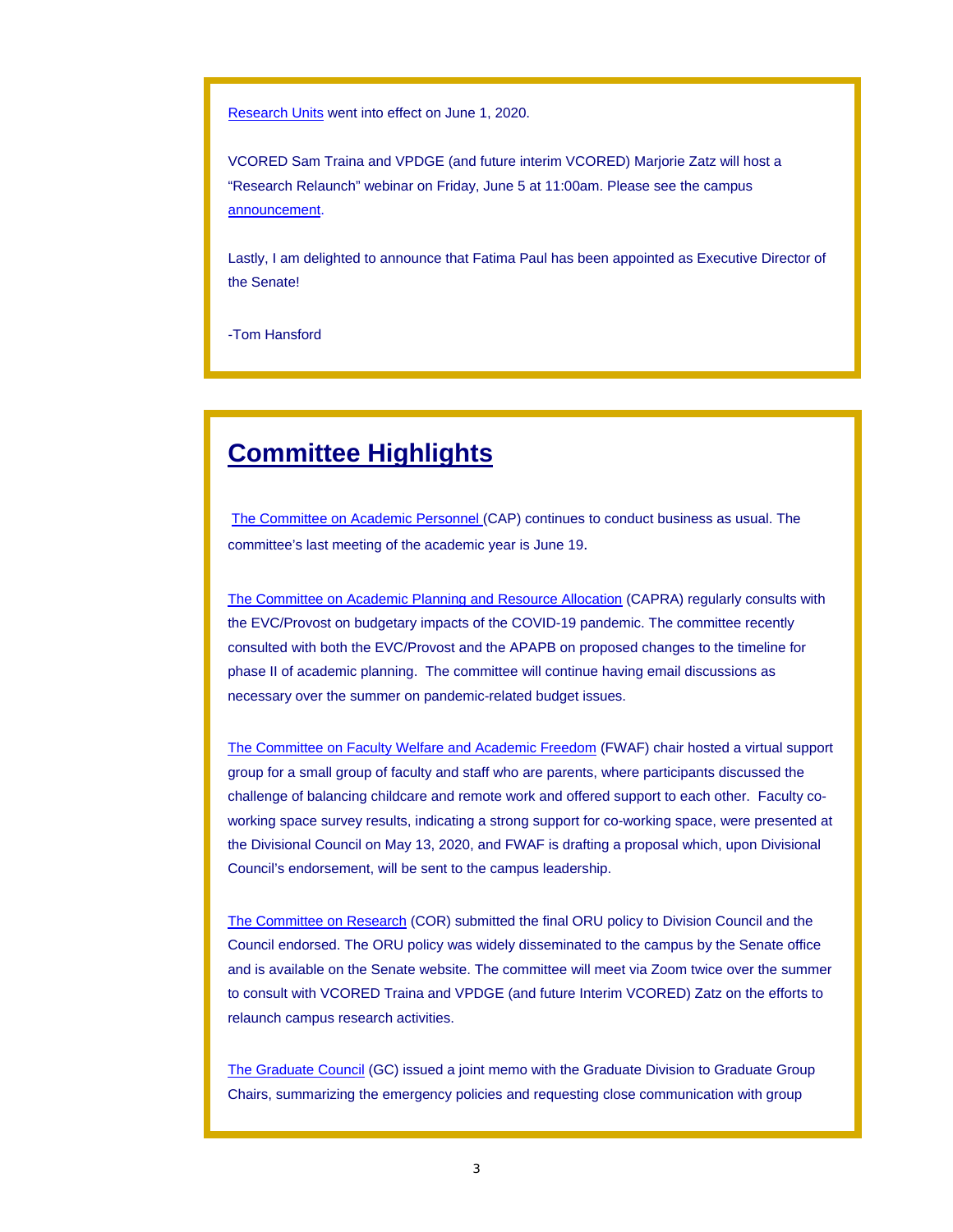Research Units went into effect on June 1, 2020.

VCORED Sam Traina and VPDGE (and future interim VCORED) Marjorie Zatz will host a "Research Relaunch" webinar on Friday, June 5 at 11:00am. Please see the campus announcement.

Lastly, I am delighted to announce that Fatima Paul has been appointed as Executive Director of the Senate!

-Tom Hansford

## **Committee Highlights**

The Committee on Academic Personnel (CAP) continues to conduct business as usual. The committee's last meeting of the academic year is June 19.

The Committee on Academic Planning and Resource Allocation (CAPRA) regularly consults with the EVC/Provost on budgetary impacts of the COVID-19 pandemic. The committee recently consulted with both the EVC/Provost and the APAPB on proposed changes to the timeline for phase II of academic planning. The committee will continue having email discussions as necessary over the summer on pandemic-related budget issues.

The Committee on Faculty Welfare and Academic Freedom (FWAF) chair hosted a virtual support group for a small group of faculty and staff who are parents, where participants discussed the challenge of balancing childcare and remote work and offered support to each other. Faculty coworking space survey results, indicating a strong support for co-working space, were presented at the Divisional Council on May 13, 2020, and FWAF is drafting a proposal which, upon Divisional Council's endorsement, will be sent to the campus leadership.

The Committee on Research (COR) submitted the final ORU policy to Division Council and the Council endorsed. The ORU policy was widely disseminated to the campus by the Senate office and is available on the Senate website. The committee will meet via Zoom twice over the summer to consult with VCORED Traina and VPDGE (and future Interim VCORED) Zatz on the efforts to relaunch campus research activities.

The Graduate Council (GC) issued a joint memo with the Graduate Division to Graduate Group Chairs, summarizing the emergency policies and requesting close communication with group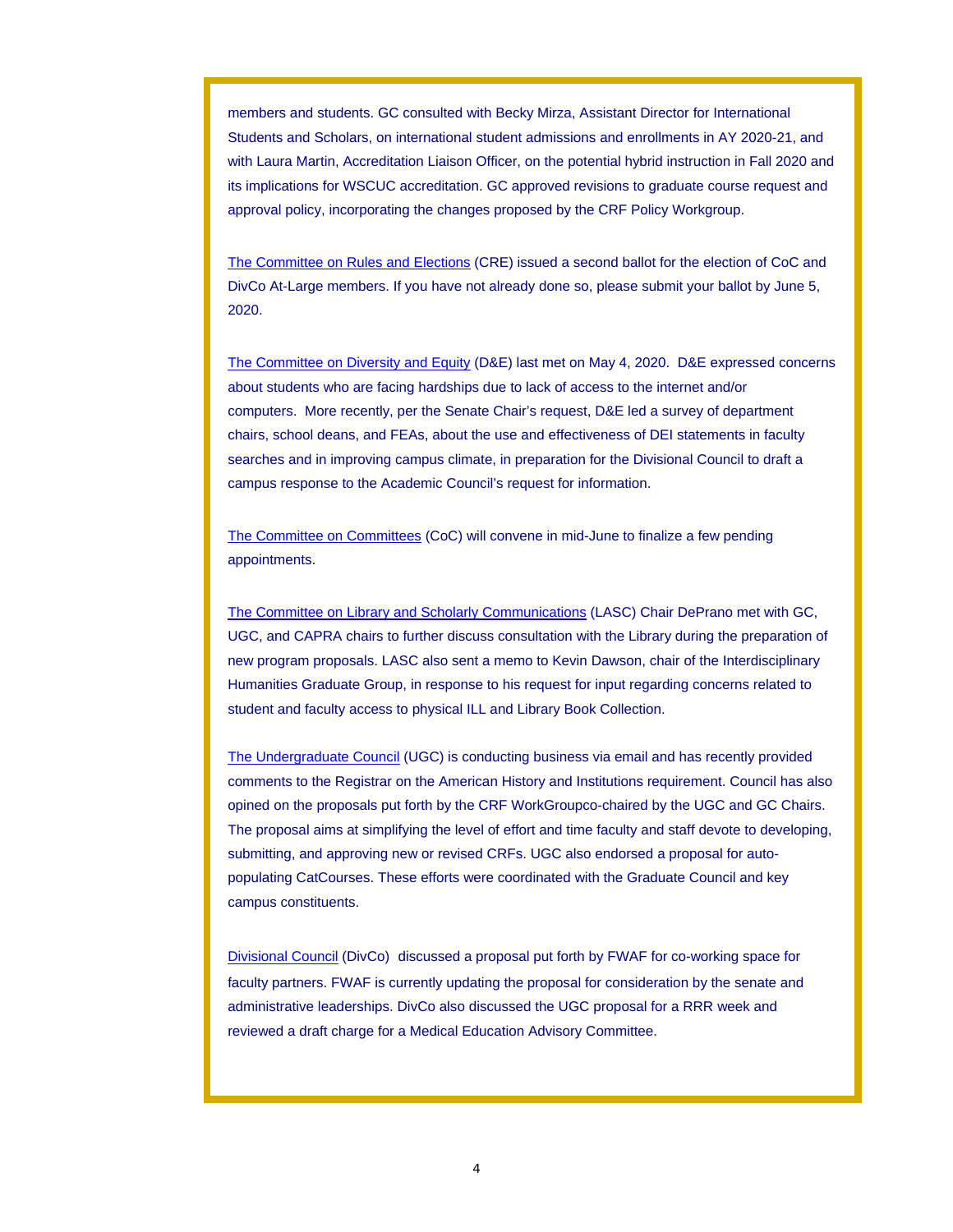members and students. GC consulted with Becky Mirza, Assistant Director for International Students and Scholars, on international student admissions and enrollments in AY 2020-21, and with Laura Martin, Accreditation Liaison Officer, on the potential hybrid instruction in Fall 2020 and its implications for WSCUC accreditation. GC approved revisions to graduate course request and approval policy, incorporating the changes proposed by the CRF Policy Workgroup.

The Committee on Rules and Elections (CRE) issued a second ballot for the election of CoC and DivCo At-Large members. If you have not already done so, please submit your ballot by June 5, 2020.

The Committee on Diversity and Equity (D&E) last met on May 4, 2020. D&E expressed concerns about students who are facing hardships due to lack of access to the internet and/or computers. More recently, per the Senate Chair's request, D&E led a survey of department chairs, school deans, and FEAs, about the use and effectiveness of DEI statements in faculty searches and in improving campus climate, in preparation for the Divisional Council to draft a campus response to the Academic Council's request for information.

The Committee on Committees (CoC) will convene in mid-June to finalize a few pending appointments.

The Committee on Library and Scholarly Communications (LASC) Chair DePrano met with GC, UGC, and CAPRA chairs to further discuss consultation with the Library during the preparation of new program proposals. LASC also sent a memo to Kevin Dawson, chair of the Interdisciplinary Humanities Graduate Group, in response to his request for input regarding concerns related to student and faculty access to physical ILL and Library Book Collection.

The Undergraduate Council (UGC) is conducting business via email and has recently provided comments to the Registrar on the American History and Institutions requirement. Council has also opined on the proposals put forth by the CRF WorkGroupco-chaired by the UGC and GC Chairs. The proposal aims at simplifying the level of effort and time faculty and staff devote to developing, submitting, and approving new or revised CRFs. UGC also endorsed a proposal for autopopulating CatCourses. These efforts were coordinated with the Graduate Council and key campus constituents.

Divisional Council (DivCo) discussed a proposal put forth by FWAF for co-working space for faculty partners. FWAF is currently updating the proposal for consideration by the senate and administrative leaderships. DivCo also discussed the UGC proposal for a RRR week and reviewed a draft charge for a Medical Education Advisory Committee.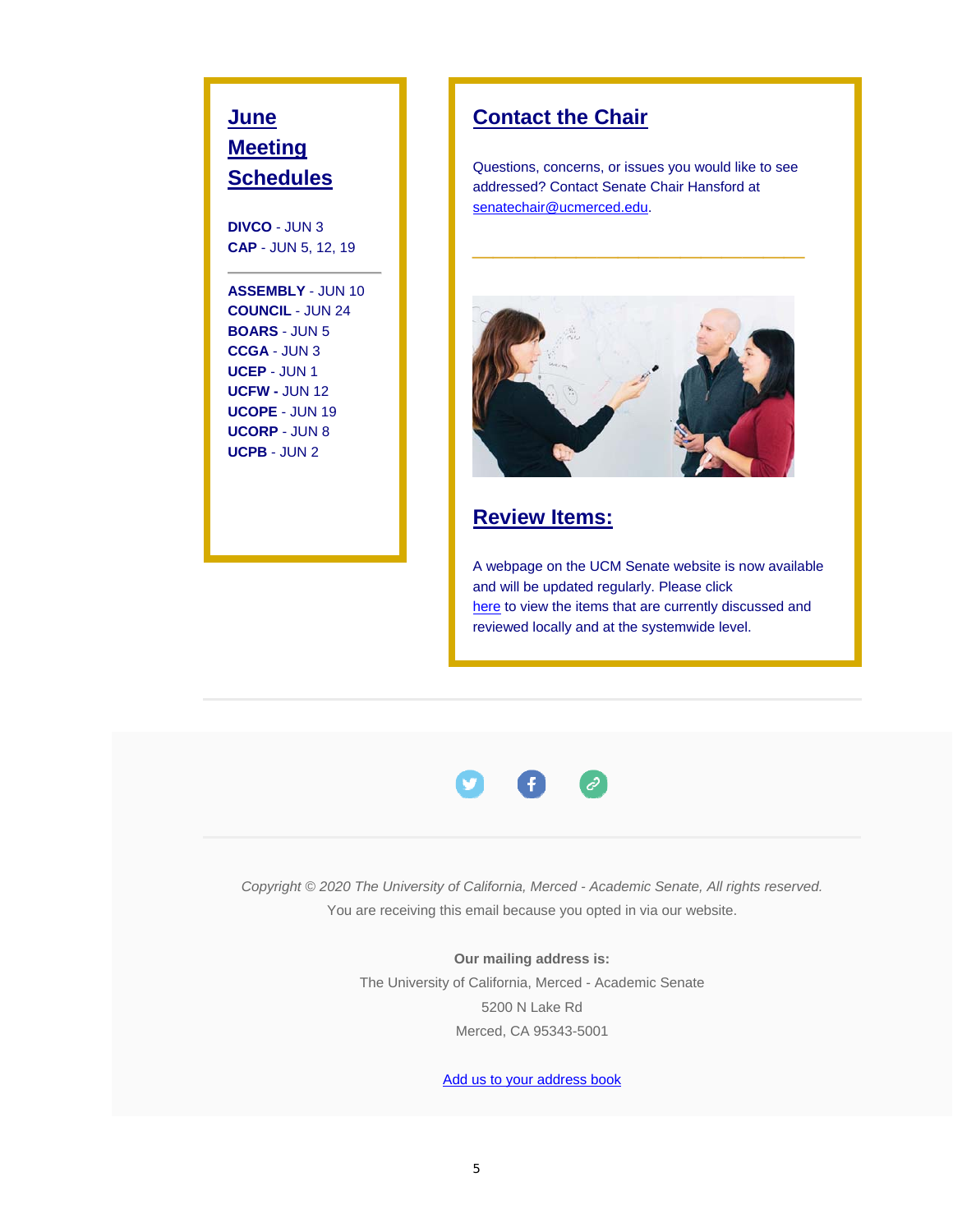## **June Meeting Schedules**

**DIVCO** - JUN 3 **CAP** - JUN 5, 12, 19

**ASSEMBLY** - JUN 10 **COUNCIL** - JUN 24 **BOARS** - JUN 5 **CCGA** - JUN 3 **UCEP** - JUN 1 **UCFW -** JUN 12 **UCOPE** - JUN 19 **UCORP** - JUN 8 **UCPB** - JUN 2

### **Contact the Chair**

Questions, concerns, or issues you would like to see addressed? Contact Senate Chair Hansford at senatechair@ucmerced.edu.

**\_\_\_\_\_\_\_\_\_\_\_\_\_\_\_\_**



#### **Review Items:**

A webpage on the UCM Senate website is now available and will be updated regularly. Please click here to view the items that are currently discussed and reviewed locally and at the systemwide level.



*Copyright © 2020 The University of California, Merced - Academic Senate, All rights reserved.* You are receiving this email because you opted in via our website.

> **Our mailing address is:** The University of California, Merced - Academic Senate 5200 N Lake Rd Merced, CA 95343-5001

> > Add us to your address book